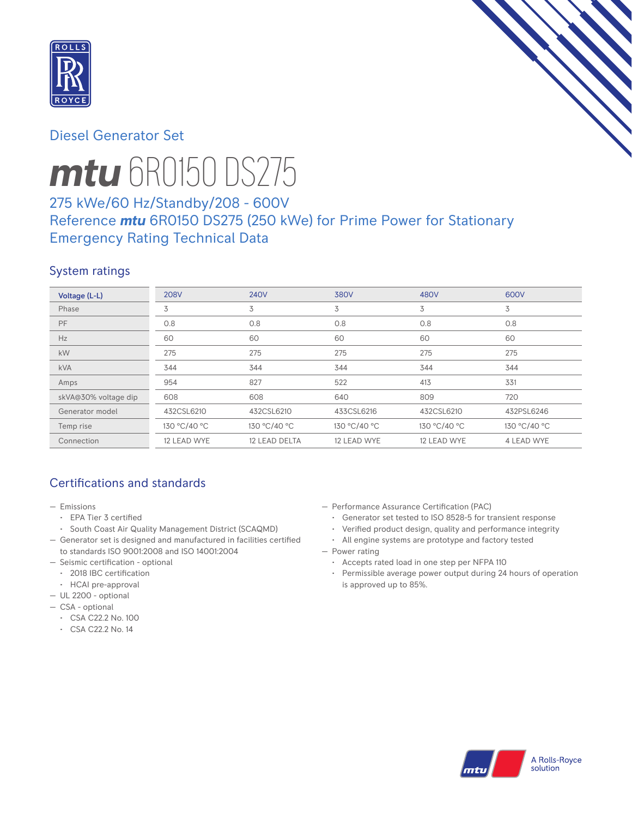

# Diesel Generator Set



# *mtu* 6R0150 DS275

# 275 kWe/60 Hz/Standby/208 - 600V Reference *mtu* 6R0150 DS275 (250 kWe) for Prime Power for Stationary Emergency Rating Technical Data

## System ratings

| Voltage (L-L)        | <b>208V</b>  | <b>240V</b>   | <b>380V</b>  | 480V         | 600V         |
|----------------------|--------------|---------------|--------------|--------------|--------------|
| Phase                | 3            | 3             | 3            | 3            | 3            |
| <b>PF</b>            | 0.8          | 0.8           | 0.8          | 0.8          | 0.8          |
| Hz                   | 60           | 60            | 60           | 60           | 60           |
| kW                   | 275          | 275           | 275          | 275          | 275          |
| <b>kVA</b>           | 344          | 344           | 344          | 344          | 344          |
| Amps                 | 954          | 827           | 522          | 413          | 331          |
| skVA@30% voltage dip | 608          | 608           | 640          | 809          | 720          |
| Generator model      | 432CSL6210   | 432CSL6210    | 433CSL6216   | 432CSL6210   | 432PSL6246   |
| Temp rise            | 130 °C/40 °C | 130 °C/40 °C  | 130 °C/40 °C | 130 °C/40 °C | 130 °C/40 °C |
| Connection           | 12 LEAD WYE  | 12 LEAD DELTA | 12 LEAD WYE  | 12 LEAD WYE  | 4 LEAD WYE   |

# Certifications and standards

- Emissions
	- EPA Tier 3 certified
- South Coast Air Quality Management District (SCAQMD)
- Generator set is designed and manufactured in facilities certified to standards ISO 9001:2008 and ISO 14001:2004
- Seismic certification optional
- 2018 IBC certification
- HCAI pre-approval
- UL 2200 optional
- CSA optional
	- CSA C22.2 No. 100
	- CSA C22.2 No. 14
- Performance Assurance Certification (PAC)
	- Generator set tested to ISO 8528-5 for transient response
- Verified product design, quality and performance integrity
- All engine systems are prototype and factory tested
- Power rating
	- Accepts rated load in one step per NFPA 110
	- Permissible average power output during 24 hours of operation is approved up to 85%.

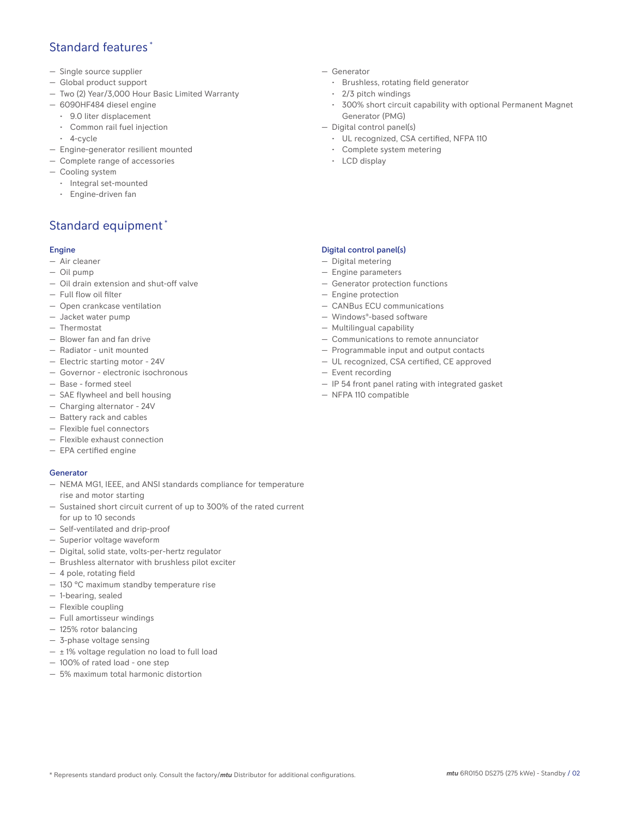## Standard features \*

- Single source supplier
- Global product support
- Two (2) Year/3,000 Hour Basic Limited Warranty
- 6090HF484 diesel engine
	- 9.0 liter displacement
	- Common rail fuel injection
	- 4-cycle
- Engine-generator resilient mounted
- Complete range of accessories
- Cooling system
- Integral set-mounted
	- Engine-driven fan

# Standard equipment \*

### Engine

- Air cleaner
- Oil pump
- Oil drain extension and shut-off valve
- Full flow oil filter
- Open crankcase ventilation
- Jacket water pump
- Thermostat
- Blower fan and fan drive
- Radiator unit mounted
- Electric starting motor 24V
- Governor electronic isochronous
- Base formed steel
- SAE flywheel and bell housing
- Charging alternator 24V
- Battery rack and cables
- Flexible fuel connectors
- Flexible exhaust connection
- EPA certified engine

### **Generator**

- NEMA MG1, IEEE, and ANSI standards compliance for temperature rise and motor starting
- Sustained short circuit current of up to 300% of the rated current for up to 10 seconds
- Self-ventilated and drip-proof
- Superior voltage waveform
- Digital, solid state, volts-per-hertz regulator
- Brushless alternator with brushless pilot exciter
- 4 pole, rotating field
- 130 °C maximum standby temperature rise
- 1-bearing, sealed
- Flexible coupling
- Full amortisseur windings
- 125% rotor balancing
- 3-phase voltage sensing
- $\pm$  1% voltage regulation no load to full load
- 100% of rated load one step
- 5% maximum total harmonic distortion
- Generator
	- Brushless, rotating field generator
	- 2/3 pitch windings
	- 300% short circuit capability with optional Permanent Magnet Generator (PMG)
- Digital control panel(s)
	- UL recognized, CSA certified, NFPA 110
	- Complete system metering
	- LCD display

## Digital control panel(s)

- Digital metering
- Engine parameters
- Generator protection functions
- Engine protection
- CANBus ECU communications
- Windows®-based software
- Multilingual capability
- Communications to remote annunciator
- Programmable input and output contacts
- UL recognized, CSA certified, CE approved
- Event recording
- IP 54 front panel rating with integrated gasket
- NFPA 110 compatible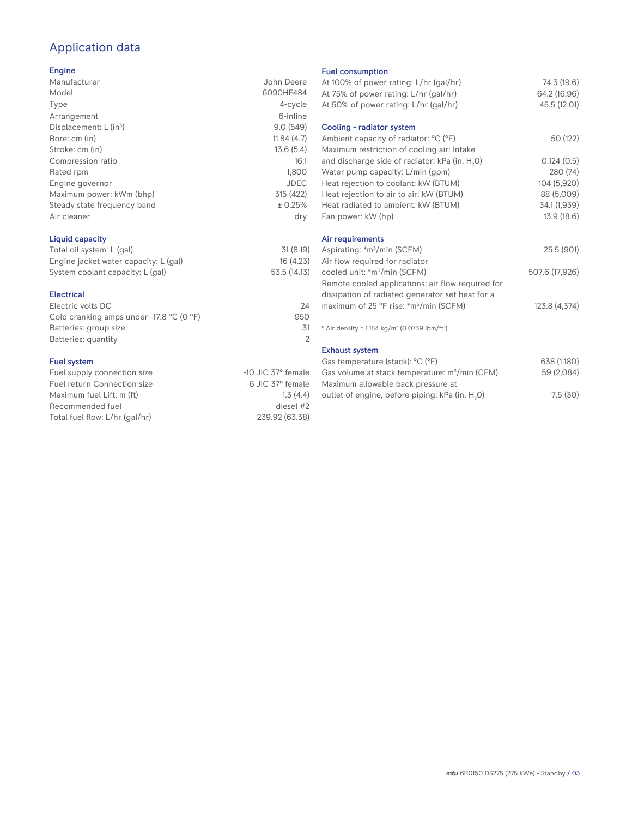# Application data

### Engine

| Manufacturer                | John Deere  |
|-----------------------------|-------------|
| Model                       | 6090HF484   |
| Type                        | 4-cycle     |
| Arrangement                 | 6-inline    |
| Displacement: $L (in3)$     | 9.0(549)    |
| Bore: cm (in)               | 11.84(4.7)  |
| Stroke: cm (in)             | 13.6(5.4)   |
| Compression ratio           | 16:1        |
| Rated rpm                   | 1,800       |
| Engine governor             | <b>JDEC</b> |
| Maximum power: kWm (bhp)    | 315 (422)   |
| Steady state frequency band | ± 0.25%     |
| Air cleaner                 | dry         |
|                             |             |

## Liquid capacity

| Total oil system: L (gal)             | 31(8.19)     |
|---------------------------------------|--------------|
| Engine jacket water capacity: L (gal) | 16(4.23)     |
| System coolant capacity: L (gal)      | 53.5 (14.13) |

#### Electrical

| Electric volts DC                                            | 24  |
|--------------------------------------------------------------|-----|
| Cold cranking amps under -17.8 $^{\circ}$ C (O $^{\circ}$ F) | 950 |
| Batteries: group size                                        | .31 |
| Batteries: quantity                                          |     |
|                                                              |     |

## Fuel system

| $-10$ JIC 37 $\degree$ female |
|-------------------------------|
| $-6$ JIC 37 $^{\circ}$ female |
| 1.3(4.4)                      |
| diesel #2                     |
| 239.92 (63.38)                |
|                               |

#### Fuel consumption

| At 100% of power rating: L/hr (gal/hr)                                                                 | 74.3 (19.6)                  |
|--------------------------------------------------------------------------------------------------------|------------------------------|
| At 75% of power rating: L/hr (gal/hr)<br>At 50% of power rating: L/hr (gal/hr)                         | 64.2 (16.96)<br>45.5 (12.01) |
| Cooling - radiator system                                                                              |                              |
| Ambient capacity of radiator: °C (°F)<br>Maximum restriction of cooling air: Intake                    | 50 (122)                     |
| and discharge side of radiator: kPa (in. H <sub>2</sub> O)                                             | 0.124(0.5)                   |
| Water pump capacity: L/min (gpm)                                                                       | 280 (74)                     |
| Heat rejection to coolant: kW (BTUM)<br>Heat rejection to air to air: kW (BTUM)                        | 104 (5,920)<br>88 (5,009)    |
| Heat radiated to ambient: kW (BTUM)                                                                    | 34.1 (1,939)                 |
| Fan power: kW (hp)                                                                                     | 13.9 (18.6)                  |
| Air requirements                                                                                       |                              |
| Aspirating: *m <sup>3</sup> /min (SCFM)<br>Air flow required for radiator                              | 25.5 (901)                   |
| cooled unit: *m <sup>3</sup> /min (SCFM)                                                               | 507.6 (17,926)               |
| Remote cooled applications; air flow required for                                                      |                              |
| dissipation of radiated generator set heat for a<br>maximum of 25 °F rise: *m <sup>3</sup> /min (SCFM) | 123.8 (4,374)                |
| * Air density = 1.184 kg/m <sup>3</sup> (0.0739 lbm/ft <sup>3</sup> )                                  |                              |
|                                                                                                        |                              |
| <b>Exhaust system</b>                                                                                  |                              |
| Gas temperature (stack): °C (°F)                                                                       | 638 (1,180)                  |
| Gas volume at stack temperature: m <sup>3</sup> /min (CFM)<br>Maximum allowable back pressure at       | 59 (2,084)                   |
| outlet of engine, before piping: kPa (in. H <sub>2</sub> 0)                                            | 7.5(30)                      |